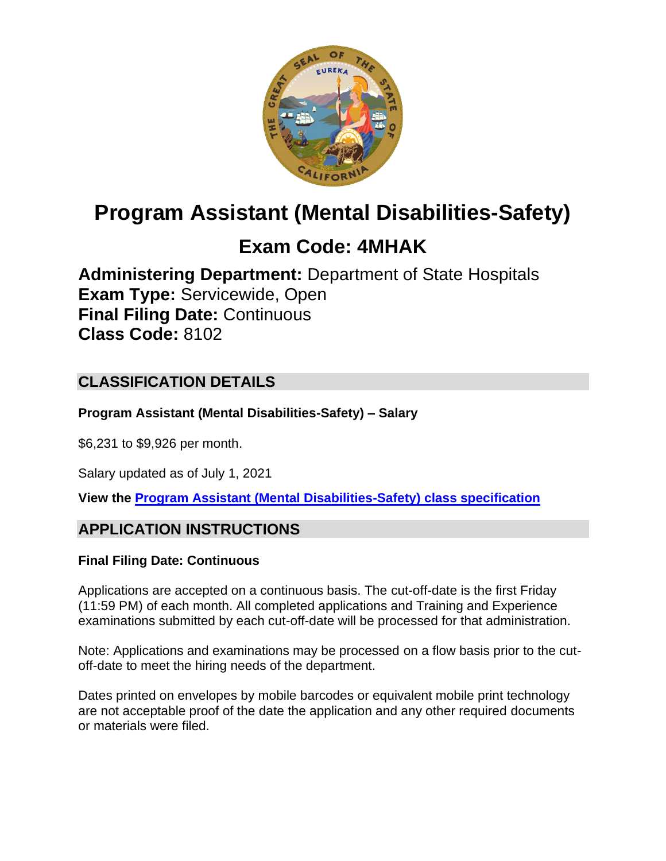

# **Program Assistant (Mental Disabilities-Safety)**

# **Exam Code: 4MHAK**

**Administering Department:** Department of State Hospitals **Exam Type:** Servicewide, Open **Final Filing Date:** Continuous **Class Code:** 8102

# **CLASSIFICATION DETAILS**

**Program Assistant (Mental Disabilities-Safety) – Salary**

\$6,231 to \$9,926 per month.

Salary updated as of July 1, 2021

**View the [Program Assistant \(Mental Disabilities-Safety\)](https://www.calhr.ca.gov/state-hr-professionals/Pages/8251.aspx) class specification**

# **APPLICATION INSTRUCTIONS**

#### **Final Filing Date: Continuous**

Applications are accepted on a continuous basis. The cut-off-date is the first Friday (11:59 PM) of each month. All completed applications and Training and Experience examinations submitted by each cut-off-date will be processed for that administration.

Note: Applications and examinations may be processed on a flow basis prior to the cutoff-date to meet the hiring needs of the department.

Dates printed on envelopes by mobile barcodes or equivalent mobile print technology are not acceptable proof of the date the application and any other required documents or materials were filed.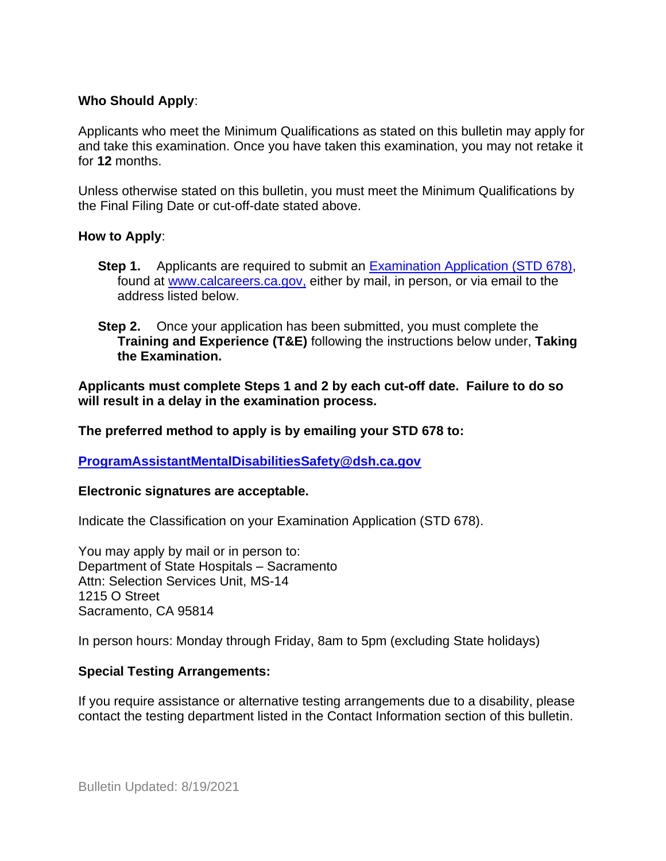#### **Who Should Apply**:

Applicants who meet the Minimum Qualifications as stated on this bulletin may apply for and take this examination. Once you have taken this examination, you may not retake it for **12** months.

Unless otherwise stated on this bulletin, you must meet the Minimum Qualifications by the Final Filing Date or cut-off-date stated above.

#### **How to Apply**:

- **Step 1.** Applicants are required to submit an [Examination Application \(STD 678\),](https://jobs.ca.gov/pdf/std678.pdf) found at [www.calcareers.ca.gov,](http://www.calcareers.ca.gov/) either by mail, in person, or via email to the address listed below.
- **Step 2.** Once your application has been submitted, you must complete the **Training and Experience (T&E)** following the instructions below under, **Taking the Examination.**

**Applicants must complete Steps 1 and 2 by each cut-off date. Failure to do so will result in a delay in the examination process.**

**The preferred method to apply is by emailing your STD 678 to:**

**[ProgramAssistantMentalDisabilitiesSafety@dsh.ca.gov](mailto:ProgramAssistantMentalDisabilitiesSafety@dsh.ca.gov)**

#### **Electronic signatures are acceptable.**

Indicate the Classification on your Examination Application (STD 678).

You may apply by mail or in person to: Department of State Hospitals – Sacramento Attn: Selection Services Unit, MS-14 1215 O Street Sacramento, CA 95814

In person hours: Monday through Friday, 8am to 5pm (excluding State holidays)

#### **Special Testing Arrangements:**

If you require assistance or alternative testing arrangements due to a disability, please contact the testing department listed in the Contact Information section of this bulletin.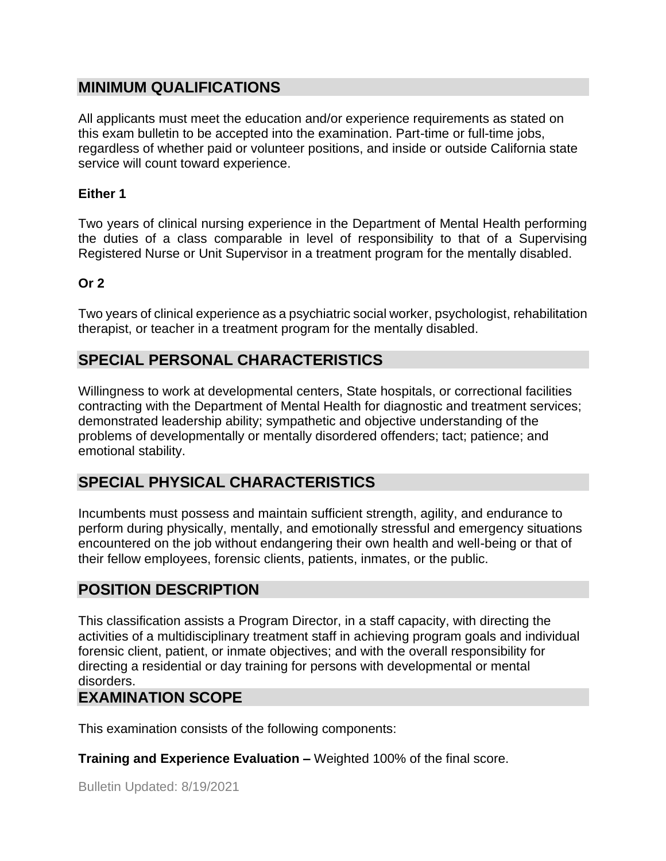## **MINIMUM QUALIFICATIONS**

All applicants must meet the education and/or experience requirements as stated on this exam bulletin to be accepted into the examination. Part-time or full-time jobs, regardless of whether paid or volunteer positions, and inside or outside California state service will count toward experience.

#### **Either 1**

Two years of clinical nursing experience in the Department of Mental Health performing the duties of a class comparable in level of responsibility to that of a Supervising Registered Nurse or Unit Supervisor in a treatment program for the mentally disabled.

#### **Or 2**

Two years of clinical experience as a psychiatric social worker, psychologist, rehabilitation therapist, or teacher in a treatment program for the mentally disabled.

# **SPECIAL PERSONAL CHARACTERISTICS**

Willingness to work at developmental centers, State hospitals, or correctional facilities contracting with the Department of Mental Health for diagnostic and treatment services; demonstrated leadership ability; sympathetic and objective understanding of the problems of developmentally or mentally disordered offenders; tact; patience; and emotional stability.

## **SPECIAL PHYSICAL CHARACTERISTICS**

Incumbents must possess and maintain sufficient strength, agility, and endurance to perform during physically, mentally, and emotionally stressful and emergency situations encountered on the job without endangering their own health and well-being or that of their fellow employees, forensic clients, patients, inmates, or the public.

## **POSITION DESCRIPTION**

This classification assists a Program Director, in a staff capacity, with directing the activities of a multidisciplinary treatment staff in achieving program goals and individual forensic client, patient, or inmate objectives; and with the overall responsibility for directing a residential or day training for persons with developmental or mental disorders.

#### **EXAMINATION SCOPE**

This examination consists of the following components:

**Training and Experience Evaluation –** Weighted 100% of the final score.

Bulletin Updated: 8/19/2021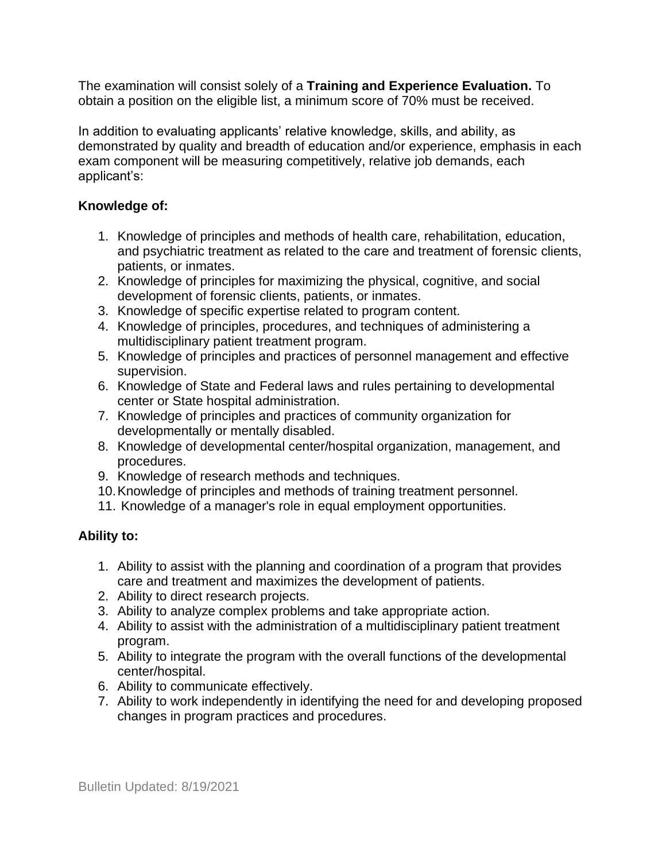The examination will consist solely of a **Training and Experience Evaluation.** To obtain a position on the eligible list, a minimum score of 70% must be received.

In addition to evaluating applicants' relative knowledge, skills, and ability, as demonstrated by quality and breadth of education and/or experience, emphasis in each exam component will be measuring competitively, relative job demands, each applicant's:

### **Knowledge of:**

- 1. Knowledge of principles and methods of health care, rehabilitation, education, and psychiatric treatment as related to the care and treatment of forensic clients, patients, or inmates.
- 2. Knowledge of principles for maximizing the physical, cognitive, and social development of forensic clients, patients, or inmates.
- 3. Knowledge of specific expertise related to program content.
- 4. Knowledge of principles, procedures, and techniques of administering a multidisciplinary patient treatment program.
- 5. Knowledge of principles and practices of personnel management and effective supervision.
- 6. Knowledge of State and Federal laws and rules pertaining to developmental center or State hospital administration.
- 7. Knowledge of principles and practices of community organization for developmentally or mentally disabled.
- 8. Knowledge of developmental center/hospital organization, management, and procedures.
- 9. Knowledge of research methods and techniques.
- 10.Knowledge of principles and methods of training treatment personnel.
- 11. Knowledge of a manager's role in equal employment opportunities.

## **Ability to:**

- 1. Ability to assist with the planning and coordination of a program that provides care and treatment and maximizes the development of patients.
- 2. Ability to direct research projects.
- 3. Ability to analyze complex problems and take appropriate action.
- 4. Ability to assist with the administration of a multidisciplinary patient treatment program.
- 5. Ability to integrate the program with the overall functions of the developmental center/hospital.
- 6. Ability to communicate effectively.
- 7. Ability to work independently in identifying the need for and developing proposed changes in program practices and procedures.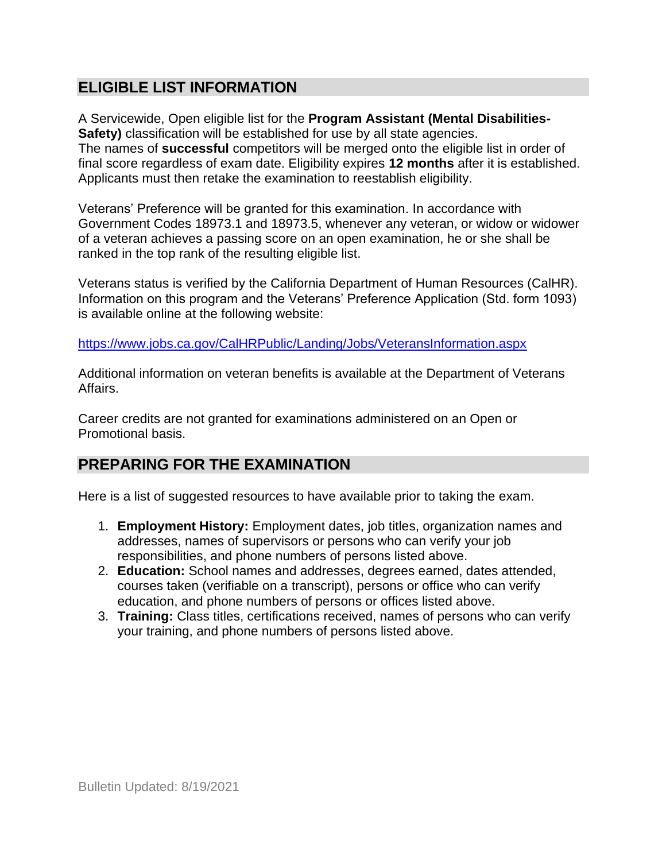# **ELIGIBLE LIST INFORMATION**

A Servicewide, Open eligible list for the **Program Assistant (Mental Disabilities-Safety)** classification will be established for use by all state agencies. The names of **successful** competitors will be merged onto the eligible list in order of final score regardless of exam date. Eligibility expires **12 months** after it is established. Applicants must then retake the examination to reestablish eligibility.

Veterans' Preference will be granted for this examination. In accordance with Government Codes 18973.1 and 18973.5, whenever any veteran, or widow or widower of a veteran achieves a passing score on an open examination, he or she shall be ranked in the top rank of the resulting eligible list.

Veterans status is verified by the California Department of Human Resources (CalHR). Information on this program and the Veterans' Preference Application (Std. form 1093) is available online at the following website:

<https://www.jobs.ca.gov/CalHRPublic/Landing/Jobs/VeteransInformation.aspx>

Additional information on veteran benefits is available at the Department of Veterans Affairs.

Career credits are not granted for examinations administered on an Open or Promotional basis.

# **PREPARING FOR THE EXAMINATION**

Here is a list of suggested resources to have available prior to taking the exam.

- 1. **Employment History:** Employment dates, job titles, organization names and addresses, names of supervisors or persons who can verify your job responsibilities, and phone numbers of persons listed above.
- 2. **Education:** School names and addresses, degrees earned, dates attended, courses taken (verifiable on a transcript), persons or office who can verify education, and phone numbers of persons or offices listed above.
- 3. **Training:** Class titles, certifications received, names of persons who can verify your training, and phone numbers of persons listed above.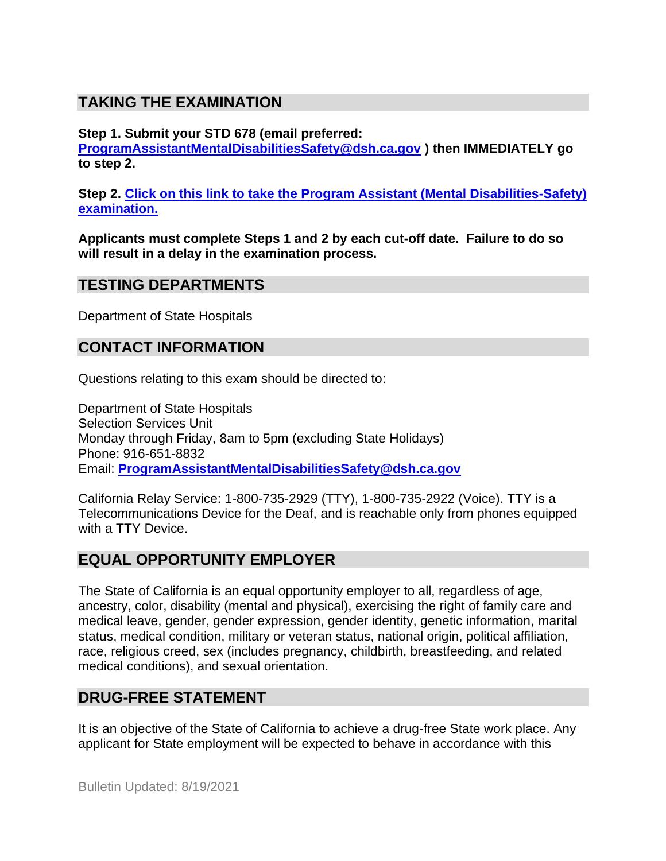# **TAKING THE EXAMINATION**

**Step 1. Submit your STD 678 (email preferred:** 

**[ProgramAssistantMentalDisabilitiesSafety@dsh.ca.gov](mailto:ProgramAssistantMentalDisabilitiesSafety@dsh.ca.gov) ) then IMMEDIATELY go to step 2.**

**Step 2. [Click on this link to take the Program Assistant \(Mental Disabilities-Safety\)](https://www.surveymonkey.com/r/Y3PVZ75) [examination.](https://www.surveymonkey.com/r/Y3PVZ75)**

**Applicants must complete Steps 1 and 2 by each cut-off date. Failure to do so will result in a delay in the examination process.**

### **TESTING DEPARTMENTS**

Department of State Hospitals

## **CONTACT INFORMATION**

Questions relating to this exam should be directed to:

Department of State Hospitals Selection Services Unit Monday through Friday, 8am to 5pm (excluding State Holidays) Phone: 916-651-8832 Email: **[ProgramAssistantMentalDisabilitiesSafety@dsh.ca.gov](mailto:ProgramAssistantMentalDisabilitiesSafety@dsh.ca.gov)**

California Relay Service: 1-800-735-2929 (TTY), 1-800-735-2922 (Voice). TTY is a Telecommunications Device for the Deaf, and is reachable only from phones equipped with a TTY Device.

## **EQUAL OPPORTUNITY EMPLOYER**

The State of California is an equal opportunity employer to all, regardless of age, ancestry, color, disability (mental and physical), exercising the right of family care and medical leave, gender, gender expression, gender identity, genetic information, marital status, medical condition, military or veteran status, national origin, political affiliation, race, religious creed, sex (includes pregnancy, childbirth, breastfeeding, and related medical conditions), and sexual orientation.

# **DRUG-FREE STATEMENT**

It is an objective of the State of California to achieve a drug-free State work place. Any applicant for State employment will be expected to behave in accordance with this